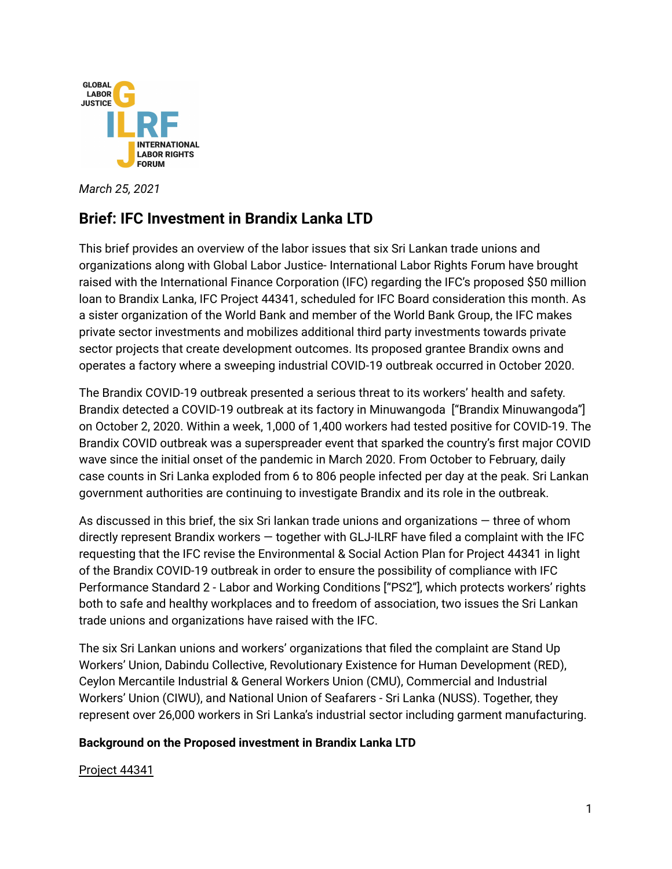

*March 25, 2021*

# **Brief: IFC Investment in Brandix Lanka LTD**

This brief provides an overview of the labor issues that six Sri Lankan trade unions and organizations along with Global Labor Justice- International Labor Rights Forum have brought raised with the International Finance Corporation (IFC) regarding the IFC's proposed \$50 million loan to Brandix Lanka, IFC Project 44341, scheduled for IFC Board consideration this month. As a sister organization of the World Bank and member of the World Bank Group, the IFC makes private sector investments and mobilizes additional third party investments towards private sector projects that create development outcomes. Its proposed grantee Brandix owns and operates a factory where a sweeping industrial COVID-19 outbreak occurred in October 2020.

The Brandix COVID-19 outbreak presented a serious threat to its workers' health and safety. Brandix detected a COVID-19 outbreak at its factory in Minuwangoda ["Brandix Minuwangoda"] on October 2, 2020. Within a week, 1,000 of 1,400 workers had tested positive for COVID-19. The Brandix COVID outbreak was a superspreader event that sparked the country's first major COVID wave since the initial onset of the pandemic in March 2020. From October to February, daily case counts in Sri Lanka exploded from 6 to 806 people infected per day at the peak. Sri Lankan government authorities are continuing to investigate Brandix and its role in the outbreak.

As discussed in this brief, the six Sri lankan trade unions and organizations — three of whom directly represent Brandix workers — together with GLJ-ILRF have filed a complaint with the IFC requesting that the IFC revise the Environmental & Social Action Plan for Project 44341 in light of the Brandix COVID-19 outbreak in order to ensure the possibility of compliance with IFC Performance Standard 2 - Labor and Working Conditions ["PS2"], which protects workers' rights both to safe and healthy workplaces and to freedom of association, two issues the Sri Lankan trade unions and organizations have raised with the IFC.

The six Sri Lankan unions and workers' organizations that filed the complaint are Stand Up Workers' Union, Dabindu Collective, Revolutionary Existence for Human Development (RED), Ceylon Mercantile Industrial & General Workers Union (CMU), Commercial and Industrial Workers' Union (CIWU), and National Union of Seafarers - Sri Lanka (NUSS). Together, they represent over 26,000 workers in Sri Lanka's industrial sector including garment manufacturing.

### **Background on the Proposed investment in Brandix Lanka LTD**

#### Project 44341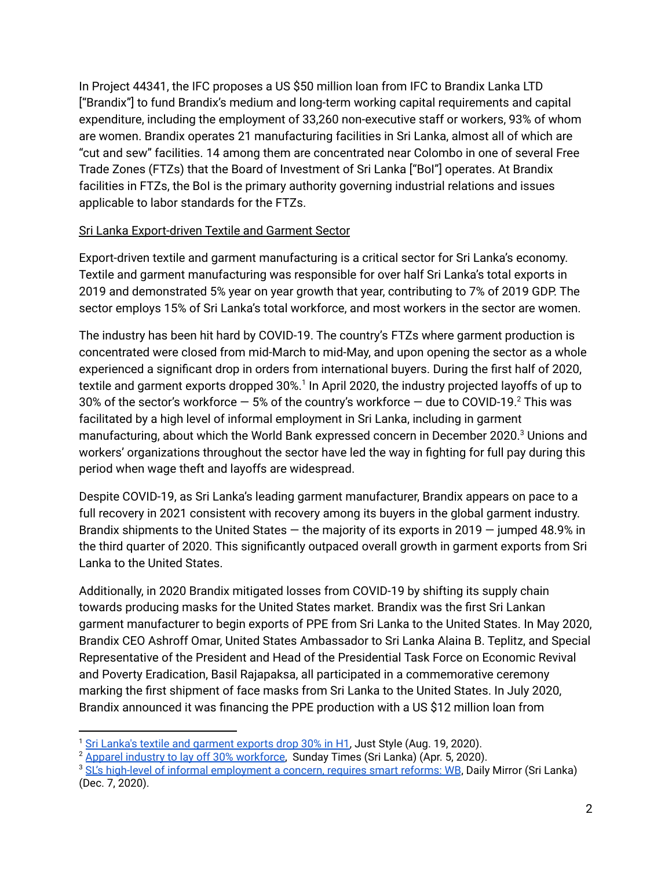In Project 44341, the IFC proposes a US \$50 million loan from IFC to Brandix Lanka LTD ["Brandix"] to fund Brandix's medium and long-term working capital requirements and capital expenditure, including the employment of 33,260 non-executive staff or workers, 93% of whom are women. Brandix operates 21 manufacturing facilities in Sri Lanka, almost all of which are "cut and sew" facilities. 14 among them are concentrated near Colombo in one of several Free Trade Zones (FTZs) that the Board of Investment of Sri Lanka ["BoI"] operates. At Brandix facilities in FTZs, the BoI is the primary authority governing industrial relations and issues applicable to labor standards for the FTZs.

### Sri Lanka Export-driven Textile and Garment Sector

Export-driven textile and garment manufacturing is a critical sector for Sri Lanka's economy. Textile and garment manufacturing was responsible for over half Sri Lanka's total exports in 2019 and demonstrated 5% year on year growth that year, contributing to 7% of 2019 GDP. The sector employs 15% of Sri Lanka's total workforce, and most workers in the sector are women.

The industry has been hit hard by COVID-19. The country's FTZs where garment production is concentrated were closed from mid-March to mid-May, and upon opening the sector as a whole experienced a significant drop in orders from international buyers. During the first half of 2020, textile and garment exports dropped 30%. 1 In April 2020, the industry projected layoffs of up to 30% of the sector's workforce  $-$  5% of the country's workforce  $-$  due to COVID-19. $^2$  This was facilitated by a high level of informal employment in Sri Lanka, including in garment manufacturing, about which the World Bank expressed concern in December 2020. <sup>3</sup> Unions and workers' organizations throughout the sector have led the way in fighting for full pay during this period when wage theft and layoffs are widespread.

Despite COVID-19, as Sri Lanka's leading garment manufacturer, Brandix appears on pace to a full recovery in 2021 consistent with recovery among its buyers in the global garment industry. Brandix shipments to the United States — the majority of its exports in 2019 — jumped 48.9% in the third quarter of 2020. This significantly outpaced overall growth in garment exports from Sri Lanka to the United States.

Additionally, in 2020 Brandix mitigated losses from COVID-19 by shifting its supply chain towards producing masks for the United States market. Brandix was the first Sri Lankan garment manufacturer to begin exports of PPE from Sri Lanka to the United States. In May 2020, Brandix CEO Ashroff Omar, United States Ambassador to Sri Lanka Alaina B. Teplitz, and Special Representative of the President and Head of the Presidential Task Force on Economic Revival and Poverty Eradication, Basil Rajapaksa, all participated in a commemorative ceremony marking the first shipment of face masks from Sri Lanka to the United States. In July 2020, Brandix announced it was financing the PPE production with a US \$12 million loan from

<sup>1</sup> Sri Lanka's textile and [garment](https://www.just-style.com/news/sri-lankas-textile-and-garment-exports-drop-30-in-h1_id139408.aspx) exports drop 30% in H1, Just Style (Aug. 19, 2020).

<sup>&</sup>lt;sup>2</sup> Apparel industry to lay off 30% [workforce,](http://www.sundaytimes.lk/200405/business-times/apparel-industry-to-lay-off-30-workforce-399059.html) Sunday Times (Sri Lanka) (Apr. 5, 2020).

<sup>&</sup>lt;sup>3</sup> SL's high-level of informal [employment](http://www.dailymirror.lk/business-news/SLs-high-level-of-informal-employment-a-concern-requires-smart-reforms-WB/273-201327) a concern, requires smart reforms: WB, Daily Mirror (Sri Lanka) (Dec. 7, 2020).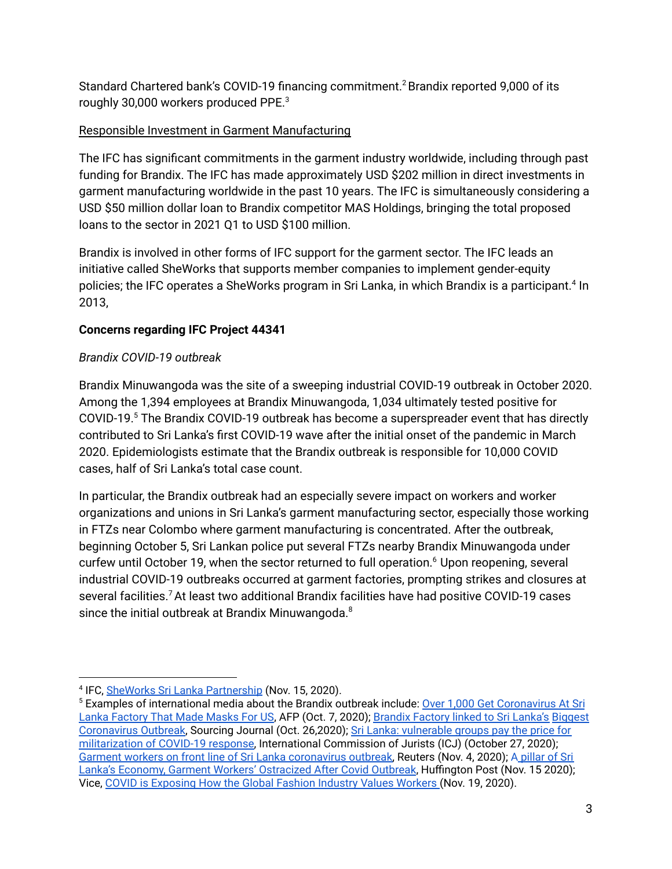Standard Chartered bank's COVID-19 financing commitment.<sup>2</sup> Brandix reported 9,000 of its roughly 30,000 workers produced PPE. 3

# Responsible Investment in Garment Manufacturing

The IFC has significant commitments in the garment industry worldwide, including through past funding for Brandix. The IFC has made approximately USD \$202 million in direct investments in garment manufacturing worldwide in the past 10 years. The IFC is simultaneously considering a USD \$50 million dollar loan to Brandix competitor MAS Holdings, bringing the total proposed loans to the sector in 2021 Q1 to USD \$100 million.

Brandix is involved in other forms of IFC support for the garment sector. The IFC leads an initiative called SheWorks that supports member companies to implement gender-equity policies; the IFC operates a SheWorks program in Sri Lanka, in which Brandix is a participant. 4 In 2013,

## **Concerns regarding IFC Project 44341**

## *Brandix COVID-19 outbreak*

Brandix Minuwangoda was the site of a sweeping industrial COVID-19 outbreak in October 2020. Among the 1,394 employees at Brandix Minuwangoda, 1,034 ultimately tested positive for COVID-19. <sup>5</sup> The Brandix COVID-19 outbreak has become a superspreader event that has directly contributed to Sri Lanka's first COVID-19 wave after the initial onset of the pandemic in March 2020. Epidemiologists estimate that the Brandix outbreak is responsible for 10,000 COVID cases, half of Sri Lanka's total case count.

In particular, the Brandix outbreak had an especially severe impact on workers and worker organizations and unions in Sri Lanka's garment manufacturing sector, especially those working in FTZs near Colombo where garment manufacturing is concentrated. After the outbreak, beginning October 5, Sri Lankan police put several FTZs nearby Brandix Minuwangoda under curfew until October 19, when the sector returned to full operation. <sup>6</sup> Upon reopening, several industrial COVID-19 outbreaks occurred at garment factories, prompting strikes and closures at several facilities.<sup>7</sup> At least two additional Brandix facilities have had positive COVID-19 cases since the initial outbreak at Brandix Minuwangoda. $^8$ 

<sup>&</sup>lt;sup>4</sup> IFC, SheWorks Sri Lanka [Partnership](https://www.ifc.org/wps/wcm/connect/topics_ext_content/ifc_external_corporate_site/gender+at+ifc/priorities/employment/sheworks_sri_lanka_partnership) (Nov. 15, 2020).

<sup>5</sup> Examples of international media about the Brandix outbreak include: Over 1,000 Get Coronavirus At Sri Lanka Factory That Made Masks For US, AFP (Oct. 7, 2020); Brandix Factory linked to Sri Lanka's Biggest Coronavirus Outbreak, Sourcing Journal (Oct. 26,2020); Sri Lanka: vulnerable groups pay the price for militarization of COVID-19 response, International Commission of Jurists (ICJ) (October 27, 2020); Garment workers on front line of Sri Lanka coronavirus outbreak, Reuters (Nov. 4, 2020); A pillar of Sri Lanka's Economy, Garment Workers' Ostracized After Covid Outbreak, Huffington Post (Nov. 15 2020); Vice, COVID is Exposing How the Global Fashion Industry Values Workers (Nov. 19, 2020).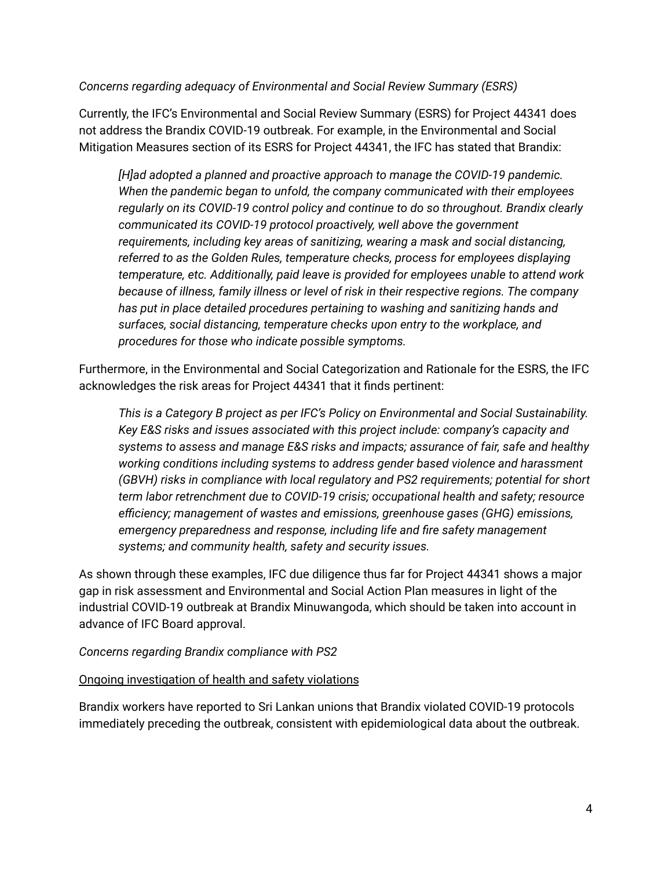#### *Concerns regarding adequacy of Environmental and Social Review Summary (ESRS)*

Currently, the IFC's Environmental and Social Review Summary (ESRS) for Project 44341 does not address the Brandix COVID-19 outbreak. For example, in the Environmental and Social Mitigation Measures section of its ESRS for Project 44341, the IFC has stated that Brandix:

*[H]ad adopted a planned and proactive approach to manage the COVID-19 pandemic. When the pandemic began to unfold, the company communicated with their employees regularly on its COVID-19 control policy and continue to do so throughout. Brandix clearly communicated its COVID-19 protocol proactively, well above the government requirements, including key areas of sanitizing, wearing a mask and social distancing, referred to as the Golden Rules, temperature checks, process for employees displaying temperature, etc. Additionally, paid leave is provided for employees unable to attend work because of illness, family illness or level of risk in their respective regions. The company has put in place detailed procedures pertaining to washing and sanitizing hands and surfaces, social distancing, temperature checks upon entry to the workplace, and procedures for those who indicate possible symptoms.*

Furthermore, in the Environmental and Social Categorization and Rationale for the ESRS, the IFC acknowledges the risk areas for Project 44341 that it finds pertinent:

*This is a Category B project as per IFC's Policy on Environmental and Social Sustainability. Key E&S risks and issues associated with this project include: company's capacity and systems to assess and manage E&S risks and impacts; assurance of fair, safe and healthy working conditions including systems to address gender based violence and harassment (GBVH) risks in compliance with local regulatory and PS2 requirements; potential for short term labor retrenchment due to COVID-19 crisis; occupational health and safety; resource efficiency; management of wastes and emissions, greenhouse gases (GHG) emissions, emergency preparedness and response, including life and fire safety management systems; and community health, safety and security issues.*

As shown through these examples, IFC due diligence thus far for Project 44341 shows a major gap in risk assessment and Environmental and Social Action Plan measures in light of the industrial COVID-19 outbreak at Brandix Minuwangoda, which should be taken into account in advance of IFC Board approval.

#### *Concerns regarding Brandix compliance with PS2*

#### Ongoing investigation of health and safety violations

Brandix workers have reported to Sri Lankan unions that Brandix violated COVID-19 protocols immediately preceding the outbreak, consistent with epidemiological data about the outbreak.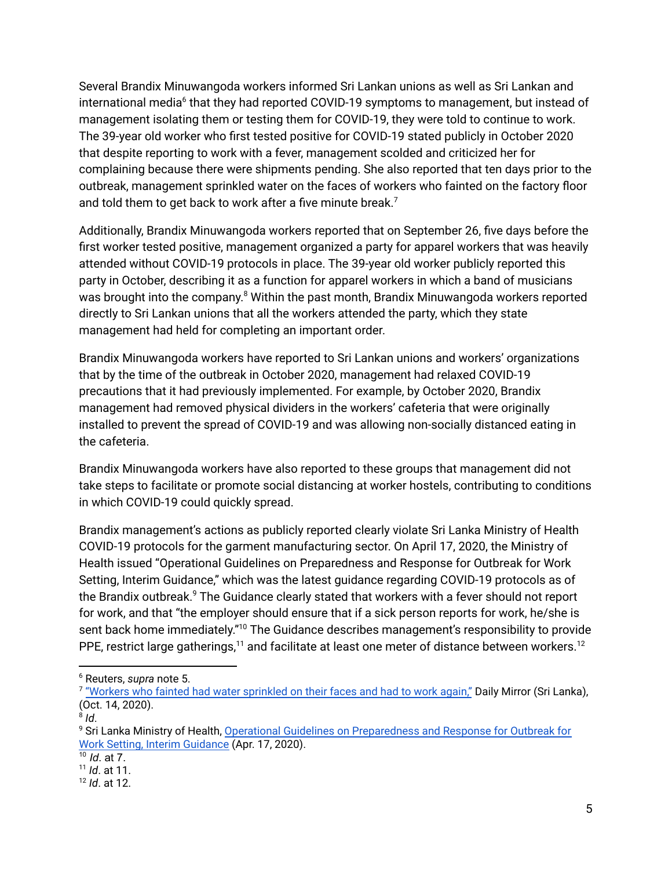Several Brandix Minuwangoda workers informed Sri Lankan unions as well as Sri Lankan and international media<sup>6</sup> that they had reported COVID-19 symptoms to management, but instead of management isolating them or testing them for COVID-19, they were told to continue to work. The 39-year old worker who first tested positive for COVID-19 stated publicly in October 2020 that despite reporting to work with a fever, management scolded and criticized her for complaining because there were shipments pending. She also reported that ten days prior to the outbreak, management sprinkled water on the faces of workers who fainted on the factory floor and told them to get back to work after a five minute break.<sup>7</sup>

Additionally, Brandix Minuwangoda workers reported that on September 26, five days before the first worker tested positive, management organized a party for apparel workers that was heavily attended without COVID-19 protocols in place. The 39-year old worker publicly reported this party in October, describing it as a function for apparel workers in which a band of musicians was brought into the company.<sup>8</sup> Within the past month, Brandix Minuwangoda workers reported directly to Sri Lankan unions that all the workers attended the party, which they state management had held for completing an important order.

Brandix Minuwangoda workers have reported to Sri Lankan unions and workers' organizations that by the time of the outbreak in October 2020, management had relaxed COVID-19 precautions that it had previously implemented. For example, by October 2020, Brandix management had removed physical dividers in the workers' cafeteria that were originally installed to prevent the spread of COVID-19 and was allowing non-socially distanced eating in the cafeteria.

Brandix Minuwangoda workers have also reported to these groups that management did not take steps to facilitate or promote social distancing at worker hostels, contributing to conditions in which COVID-19 could quickly spread.

Brandix management's actions as publicly reported clearly violate Sri Lanka Ministry of Health COVID-19 protocols for the garment manufacturing sector. On April 17, 2020, the Ministry of Health issued "Operational Guidelines on Preparedness and Response for Outbreak for Work Setting, Interim Guidance," which was the latest guidance regarding COVID-19 protocols as of the Brandix outbreak. <sup>9</sup> The Guidance clearly stated that workers with a fever should not report for work, and that "the employer should ensure that if a sick person reports for work, he/she is sent back home immediately."<sup>10</sup> The Guidance describes management's responsibility to provide PPE, restrict large gatherings,<sup>11</sup> and facilitate at least one meter of distance between workers.<sup>12</sup>

<sup>6</sup> Reuters, *supra* note 5.

<sup>&</sup>lt;sup>7</sup> <u>"Workers who fainted had water [sprinkled](http://www.dailymirror.lk/news-features/Workers-who-fainted-had-water-sprinkled-on-their-faces-and-had-to-work-again/131-197861) on their faces and had to work again,"</u> Daily Mirror (Sri Lanka), (Oct. 14, 2020).

<sup>8</sup> *Id*.

<sup>&</sup>lt;sup>9</sup> Sri Lanka Ministry of Health, Operational Guidelines on [Preparedness](https://www.pdn.ac.lk/mainpg-contents/download-files/OPERATIONAL-GUIDELINES%20-%20COVID%2019%20-%20English.pdf) and Response for Outbreak for Work Setting, Interim [Guidance](https://www.pdn.ac.lk/mainpg-contents/download-files/OPERATIONAL-GUIDELINES%20-%20COVID%2019%20-%20English.pdf) (Apr. 17, 2020).

<sup>10</sup> *Id*. at 7.

<sup>11</sup> *Id*. at 11.

<sup>12</sup> *Id*. at 12.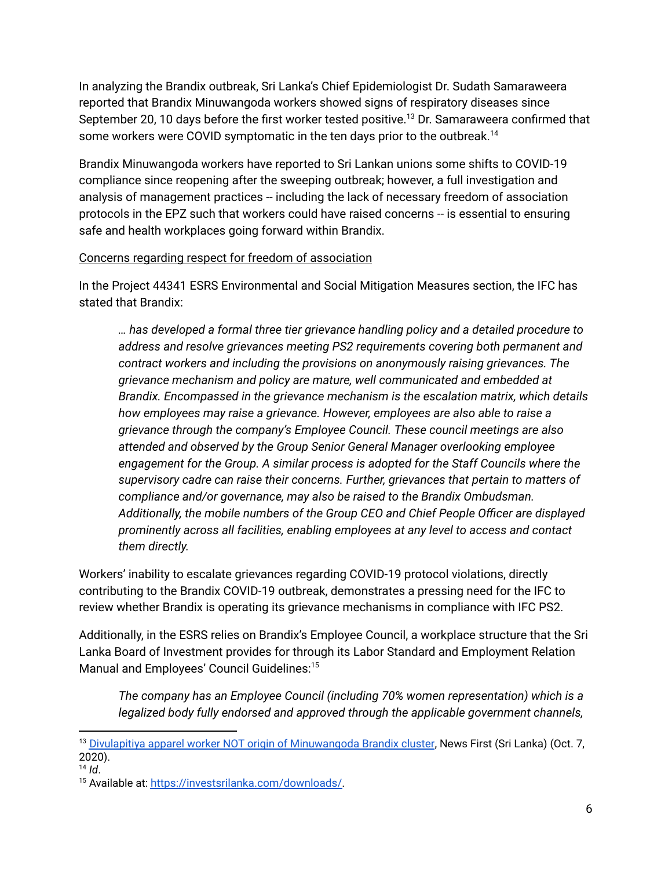In analyzing the Brandix outbreak, Sri Lanka's Chief Epidemiologist Dr. Sudath Samaraweera reported that Brandix Minuwangoda workers showed signs of respiratory diseases since September 20, 10 days before the first worker tested positive. <sup>13</sup> Dr. Samaraweera confirmed that some workers were COVID symptomatic in the ten days prior to the outbreak.<sup>14</sup>

Brandix Minuwangoda workers have reported to Sri Lankan unions some shifts to COVID-19 compliance since reopening after the sweeping outbreak; however, a full investigation and analysis of management practices -- including the lack of necessary freedom of association protocols in the EPZ such that workers could have raised concerns -- is essential to ensuring safe and health workplaces going forward within Brandix.

### Concerns regarding respect for freedom of association

In the Project 44341 ESRS Environmental and Social Mitigation Measures section, the IFC has stated that Brandix:

*… has developed a formal three tier grievance handling policy and a detailed procedure to address and resolve grievances meeting PS2 requirements covering both permanent and contract workers and including the provisions on anonymously raising grievances. The grievance mechanism and policy are mature, well communicated and embedded at Brandix. Encompassed in the grievance mechanism is the escalation matrix, which details how employees may raise a grievance. However, employees are also able to raise a grievance through the company's Employee Council. These council meetings are also attended and observed by the Group Senior General Manager overlooking employee engagement for the Group. A similar process is adopted for the Staff Councils where the supervisory cadre can raise their concerns. Further, grievances that pertain to matters of compliance and/or governance, may also be raised to the Brandix Ombudsman. Additionally, the mobile numbers of the Group CEO and Chief People Officer are displayed prominently across all facilities, enabling employees at any level to access and contact them directly.*

Workers' inability to escalate grievances regarding COVID-19 protocol violations, directly contributing to the Brandix COVID-19 outbreak, demonstrates a pressing need for the IFC to review whether Brandix is operating its grievance mechanisms in compliance with IFC PS2.

Additionally, in the ESRS relies on Brandix's Employee Council, a workplace structure that the Sri Lanka Board of Investment provides for through its Labor Standard and Employment Relation Manual and Employees' Council Guidelines: 15

*The company has an Employee Council (including 70% women representation) which is a legalized body fully endorsed and approved through the applicable government channels,*

<sup>&</sup>lt;sup>13</sup> Divulapitiya apparel worker NOT origin of [Minuwangoda](https://www.newsfirst.lk/2020/10/07/divulapitiya-apparel-worker-not-origin-of-minuwangoda-brandix-cluster/) Brandix cluster, News First (Sri Lanka) (Oct. 7, 2020).

<sup>14</sup> *Id*.

<sup>15</sup> Available at: [https://investsrilanka.com/downloads/.](https://investsrilanka.com/downloads/)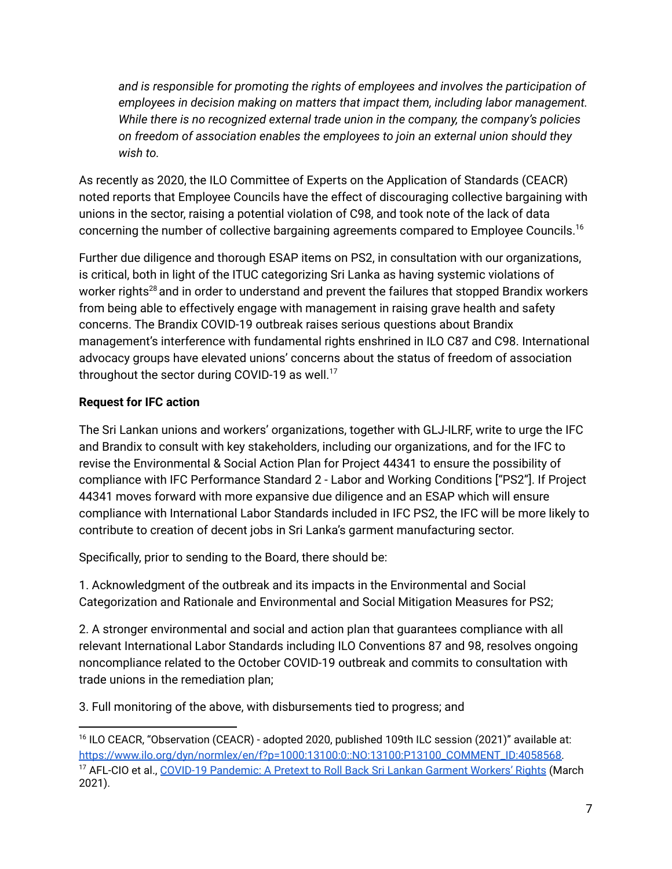*and is responsible for promoting the rights of employees and involves the participation of employees in decision making on matters that impact them, including labor management. While there is no recognized external trade union in the company, the company's policies on freedom of association enables the employees to join an external union should they wish to.*

As recently as 2020, the ILO Committee of Experts on the Application of Standards (CEACR) noted reports that Employee Councils have the effect of discouraging collective bargaining with unions in the sector, raising a potential violation of C98, and took note of the lack of data concerning the number of collective bargaining agreements compared to Employee Councils. 16

Further due diligence and thorough ESAP items on PS2, in consultation with our organizations, is critical, both in light of the ITUC categorizing Sri Lanka as having systemic violations of worker rights $^{28}$  and in order to understand and prevent the failures that stopped Brandix workers from being able to effectively engage with management in raising grave health and safety concerns. The Brandix COVID-19 outbreak raises serious questions about Brandix management's interference with fundamental rights enshrined in ILO C87 and C98. International advocacy groups have elevated unions' concerns about the status of freedom of association throughout the sector during COVID-19 as well. $^{17}$ 

# **Request for IFC action**

The Sri Lankan unions and workers' organizations, together with GLJ-ILRF, write to urge the IFC and Brandix to consult with key stakeholders, including our organizations, and for the IFC to revise the Environmental & Social Action Plan for Project 44341 to ensure the possibility of compliance with IFC Performance Standard 2 - Labor and Working Conditions ["PS2"]. If Project 44341 moves forward with more expansive due diligence and an ESAP which will ensure compliance with International Labor Standards included in IFC PS2, the IFC will be more likely to contribute to creation of decent jobs in Sri Lanka's garment manufacturing sector.

Specifically, prior to sending to the Board, there should be:

1. Acknowledgment of the outbreak and its impacts in the Environmental and Social Categorization and Rationale and Environmental and Social Mitigation Measures for PS2;

2. A stronger environmental and social and action plan that guarantees compliance with all relevant International Labor Standards including ILO Conventions 87 and 98, resolves ongoing noncompliance related to the October COVID-19 outbreak and commits to consultation with trade unions in the remediation plan;

3. Full monitoring of the above, with disbursements tied to progress; and

<sup>&</sup>lt;sup>17</sup> AFL-CIO et al., COVID-19 [Pandemic:](https://cleanclothes.org/file-repository/sri_lanka_brief_march_2021.pdf/view) A Pretext to Roll Back Sri Lankan Garment Workers' Rights (March 2021). <sup>16</sup> ILO CEACR, "Observation (CEACR) - adopted 2020, published 109th ILC session (2021)" available at: https://www.ilo.org/dyn/normlex/en/f?p=1000:13100:0::NO:13100:P13100\_COMMENT\_ID:4058568.